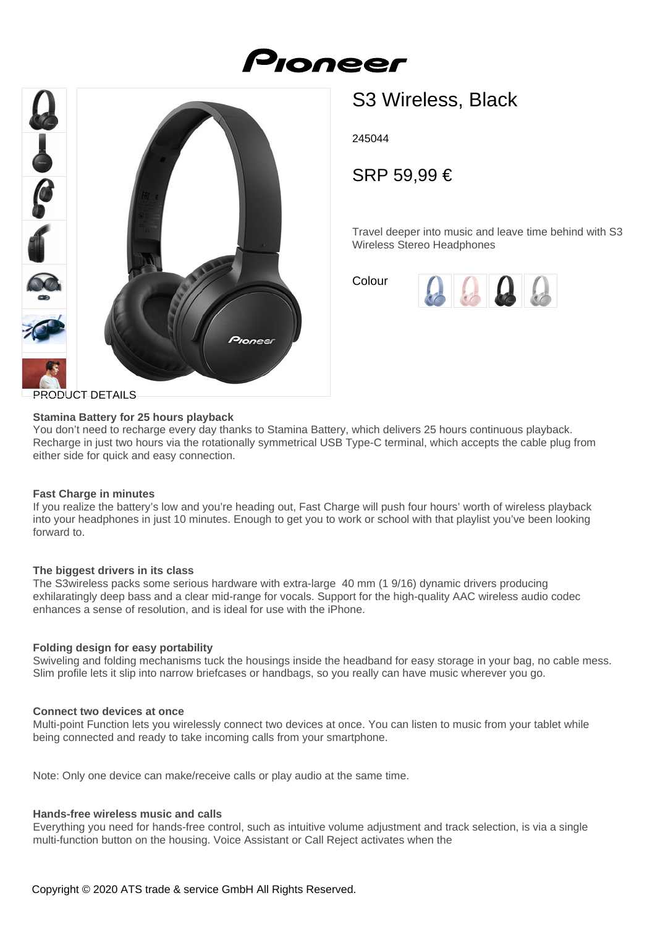Pioneer



# S3 Wireless, Black

245044

SRP 59,99 €

Travel deeper into music and leave time behind with S3 Wireless Stereo Headphones

Colour



# **Stamina Battery for 25 hours playback**

You don't need to recharge every day thanks to Stamina Battery, which delivers 25 hours continuous playback. Recharge in just two hours via the rotationally symmetrical USB Type-C terminal, which accepts the cable plug from either side for quick and easy connection.

# **Fast Charge in minutes**

If you realize the battery's low and you're heading out, Fast Charge will push four hours' worth of wireless playback into your headphones in just 10 minutes. Enough to get you to work or school with that playlist you've been looking forward to.

#### **The biggest drivers in its class**

The S3wireless packs some serious hardware with extra-large 40 mm (1 9/16) dynamic drivers producing exhilaratingly deep bass and a clear mid-range for vocals. Support for the high-quality AAC wireless audio codec enhances a sense of resolution, and is ideal for use with the iPhone.

#### **Folding design for easy portability**

Swiveling and folding mechanisms tuck the housings inside the headband for easy storage in your bag, no cable mess. Slim profile lets it slip into narrow briefcases or handbags, so you really can have music wherever you go.

#### **Connect two devices at once**

Multi-point Function lets you wirelessly connect two devices at once. You can listen to music from your tablet while being connected and ready to take incoming calls from your smartphone.

Note: Only one device can make/receive calls or play audio at the same time.

# **Hands-free wireless music and calls**

Everything you need for hands-free control, such as intuitive volume adjustment and track selection, is via a single multi-function button on the housing. Voice Assistant or Call Reject activates when the

Copyright © 2020 ATS trade & service GmbH All Rights Reserved.